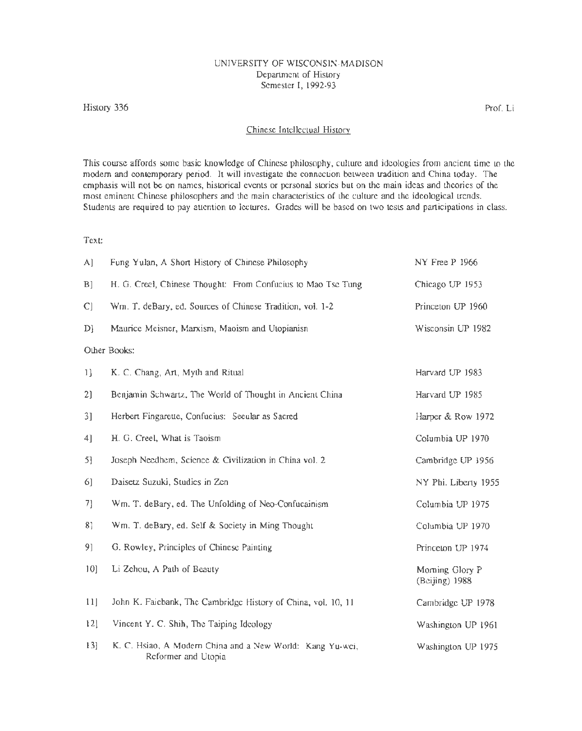### UNIVERSITY OF WISCONSIN-MADISON Department of History Semester I, 1992-93

#### History 336

Prof. Li

#### Chinese Intellectual History

This course affords some basic knowledge of Chinese philosophy, culture and ideologies from ancient time to the modem and contemporary period. It will investigate the connection between tradition and China today. The emphasis will not be on names, historical events or personal stories but on the main ideas and theories of the most eminent Chinese philosophers and the main characteristics of the culture and the ideological trends. Students are required to pay attention to lectures. Grades will be based on two tests and participations in class.

## Text:

| A]           | Fung Yulan, A Short History of Chinese Philosophy                                | NY Free P 1966                    |  |  |  |
|--------------|----------------------------------------------------------------------------------|-----------------------------------|--|--|--|
| B]           | H. G. Creel, Chinese Thought: From Confucius to Mao Tsc Tung                     | Chicago UP 1953                   |  |  |  |
| C]           | Wm. T. deBary, ed. Sources of Chinese Tradition, vol. 1-2                        | Princeton UP 1960                 |  |  |  |
| D)           | Maurice Meisner, Marxism, Maoism and Utopianisn                                  | Wisconsin UP 1982                 |  |  |  |
| Other Books: |                                                                                  |                                   |  |  |  |
| 1            | K. C. Chang, Art, Myth and Ritual                                                | Harvard UP 1983                   |  |  |  |
| 2)           | Benjamin Schwartz, The World of Thought in Ancient China                         | Harvard UP 1985                   |  |  |  |
| 3]           | Herbert Fingarette, Confucius: Secular as Sacred                                 | Harper & Row 1972                 |  |  |  |
| 4]           | H. G. Creel, What is Taoism                                                      | Columbia UP 1970                  |  |  |  |
| 5]           | Joseph Needhem, Science & Civilization in China vol. 2                           | Cambridge UP 3956                 |  |  |  |
| 6]           | Daisetz Suzuki, Studies in Zen                                                   | NY Phi. Liberty 1955              |  |  |  |
| 7]           | Wm. T. deBary, ed. The Unfolding of Neo-Confucainism                             | Columbia UP 1975                  |  |  |  |
| 81           | Wm. T. deBary, ed. Self & Society in Ming Thought                                | Columbia UP 1970                  |  |  |  |
| 9]           | G. Rowley, Principles of Chinese Painting                                        | Princeton UP 1974                 |  |  |  |
| 10           | Li Zehou, A Path of Beauty                                                       | Morning Glory P<br>(Beijing) 1988 |  |  |  |
| 11]          | John K. Faiebank, The Cambridge History of China, vol. 10, 11                    | Cambridge UP 1978                 |  |  |  |
| 12]          | Vincent Y. C. Shih, The Taiping Ideology                                         | Washington UP 1961                |  |  |  |
| 13]          | K. C. Hsiao, A Modern China and a New World: Kang Yu-wei,<br>Reformer and Utopia | Washington UP 1975                |  |  |  |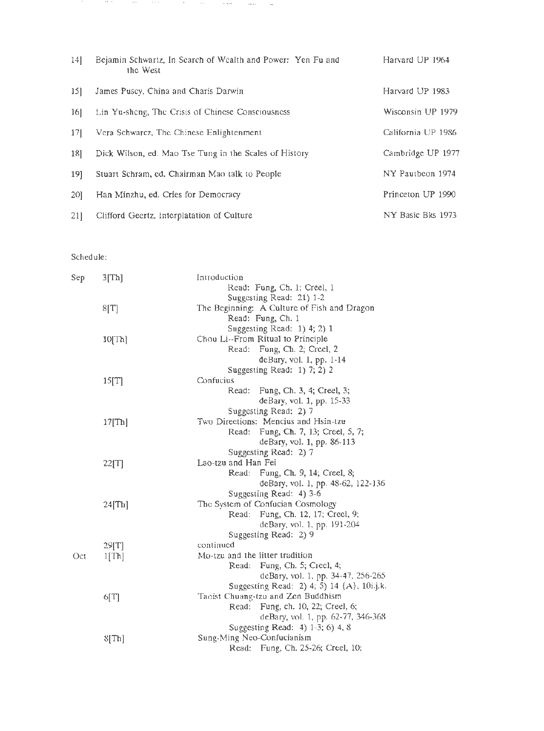| $14$ ] | Bejamin Schwartz, In Search of Wealth and Power: Yen Fu and<br>the West | Harvard UP 1964    |
|--------|-------------------------------------------------------------------------|--------------------|
| $15$ ] | James Pusey, China and Charis Darwin                                    | Harvard UP 1983    |
| 16]    | Lin Yu-sheng, The Crisis of Chinese Consciousness                       | Wisconsin UP 1979  |
| 17]    | Vera Schwarcz, The Chinese Enlightenment                                | California UP 1986 |
| 18]    | Dick Wilson, ed. Mao Tse Tung in the Scales of History                  | Cambridge UP 1977  |
| $19$ ] | Stuart Schram, ed. Chairman Mao talk to People                          | NY Pautheon 1974   |
| 20]    | Han Minzhu, ed. Cries for Democracy                                     | Princeton UP 1990  |
| 21]    | Clifford Geertz, Interplatation of Culture                              | NY Basic Bks 1973  |

ساد مست السوود المعاون المعارفة العاملية العاملية

# Schedule:

| Sep  | 3[Th]     | Introduction                                                   |  |
|------|-----------|----------------------------------------------------------------|--|
|      |           | Read: Fung, Ch. 1; Creel, 1                                    |  |
|      |           | Suggesting Read: 21) 1-2                                       |  |
|      | 8[T]      | The Beginning: A Culture of Fish and Dragon                    |  |
|      |           | Read: Fung, Ch. 1                                              |  |
|      |           | Suggesting Read: 1) 4; 2) 1                                    |  |
|      | 10[Th]    | Chou Li--From Ritual to Principle                              |  |
|      |           | Read: Fung, Ch. 2; Creel, 2                                    |  |
|      |           | deBary, vol. 1, pp. 1-14                                       |  |
|      |           | Suggesting Read: 1) 7; 2) 2                                    |  |
|      | 15[T]     | Confucius                                                      |  |
|      |           | Fung, Ch. 3, 4; Creel, 3;<br>Read:                             |  |
|      |           | deBary, vol. 1, pp. 15-33                                      |  |
|      |           | Suggesting Read: 2) 7                                          |  |
|      | $17$ [Th] | Two Directions: Mencius and Hsin-tzu                           |  |
|      |           | Fung, Ch. 7, 13; Creel, 5, 7;<br>Read:                         |  |
|      |           | deBary, vol. 1, pp. 86-113                                     |  |
|      |           | Suggesting Read: 2) 7                                          |  |
|      | 22[T]     | Lao-tzu and Han Fei                                            |  |
|      |           | Read: Fung, Ch. 9, 14; Creel, 8;                               |  |
|      |           | deBary, vol. 1, pp. 48-62, 122-136                             |  |
|      |           | Suggesting Read: 4) 3-6                                        |  |
|      | $24$ [Th] | The System of Confucian Cosmology                              |  |
|      |           | Read: Fung, Ch. 12, 17; Creel, 9;                              |  |
|      |           | deBary, vol. 1, pp. 191-204                                    |  |
|      |           | Suggesting Read: 2) 9                                          |  |
|      |           | continued                                                      |  |
| Oct. | 29[T]     | Mo-tzu and the litter tradition                                |  |
|      | 1[Th]     | Fung, Ch. 5; Creel, 4;<br>Read:                                |  |
|      |           | deBary, vol. 1, pp. 34-47, 256-265                             |  |
|      |           | Suggesting Read: 2) 4; 5) 14 {A}, 10i.j.k.                     |  |
|      |           | Taoist Chuang-tzu and Zen Buddhism                             |  |
|      | 6[T]      | Read: Fung, ch. 10, 22; Creel, 6;                              |  |
|      |           | deBary, vol. 1, pp. 62-77, 346-368                             |  |
|      |           |                                                                |  |
|      |           | Suggesting Read: 4) 1-3; 6) 4, 8<br>Sung-Ming Neo-Confucianism |  |
|      | $8$ [Th]  |                                                                |  |
|      |           | Read: Fung, Ch. 25-26; Creel, 10;                              |  |